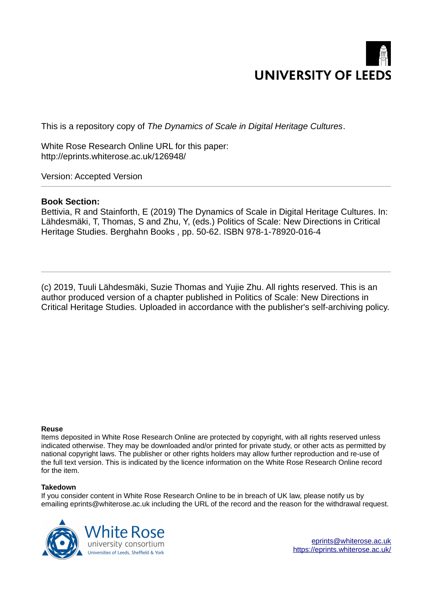

This is a repository copy of *The Dynamics of Scale in Digital Heritage Cultures*.

White Rose Research Online URL for this paper: http://eprints.whiterose.ac.uk/126948/

Version: Accepted Version

# **Book Section:**

Bettivia, R and Stainforth, E (2019) The Dynamics of Scale in Digital Heritage Cultures. In: Lähdesmäki, T, Thomas, S and Zhu, Y, (eds.) Politics of Scale: New Directions in Critical Heritage Studies. Berghahn Books , pp. 50-62. ISBN 978-1-78920-016-4

(c) 2019, Tuuli Lähdesmäki, Suzie Thomas and Yujie Zhu. All rights reserved. This is an author produced version of a chapter published in Politics of Scale: New Directions in Critical Heritage Studies. Uploaded in accordance with the publisher's self-archiving policy.

#### **Reuse**

Items deposited in White Rose Research Online are protected by copyright, with all rights reserved unless indicated otherwise. They may be downloaded and/or printed for private study, or other acts as permitted by national copyright laws. The publisher or other rights holders may allow further reproduction and re-use of the full text version. This is indicated by the licence information on the White Rose Research Online record for the item.

#### **Takedown**

If you consider content in White Rose Research Online to be in breach of UK law, please notify us by emailing eprints@whiterose.ac.uk including the URL of the record and the reason for the withdrawal request.



eprints@whiterose.ac.uk https://eprints.whiterose.ac.uk/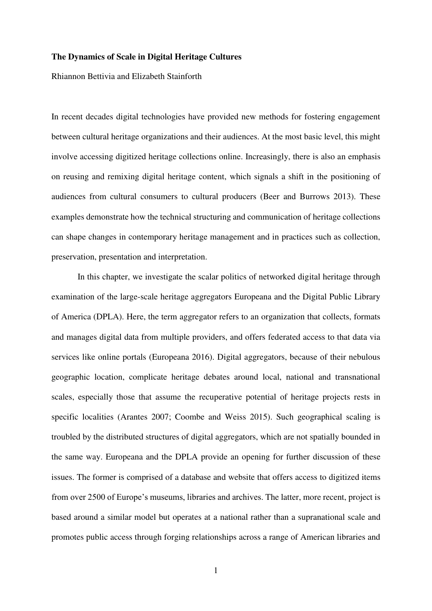#### **The Dynamics of Scale in Digital Heritage Cultures**

Rhiannon Bettivia and Elizabeth Stainforth

In recent decades digital technologies have provided new methods for fostering engagement between cultural heritage organizations and their audiences. At the most basic level, this might involve accessing digitized heritage collections online. Increasingly, there is also an emphasis on reusing and remixing digital heritage content, which signals a shift in the positioning of audiences from cultural consumers to cultural producers (Beer and Burrows 2013). These examples demonstrate how the technical structuring and communication of heritage collections can shape changes in contemporary heritage management and in practices such as collection, preservation, presentation and interpretation.

In this chapter, we investigate the scalar politics of networked digital heritage through examination of the large-scale heritage aggregators Europeana and the Digital Public Library of America (DPLA). Here, the term aggregator refers to an organization that collects, formats and manages digital data from multiple providers, and offers federated access to that data via services like online portals (Europeana 2016). Digital aggregators, because of their nebulous geographic location, complicate heritage debates around local, national and transnational scales, especially those that assume the recuperative potential of heritage projects rests in specific localities (Arantes 2007; Coombe and Weiss 2015). Such geographical scaling is troubled by the distributed structures of digital aggregators, which are not spatially bounded in the same way. Europeana and the DPLA provide an opening for further discussion of these issues. The former is comprised of a database and website that offers access to digitized items from over 2500 of Europe's museums, libraries and archives. The latter, more recent, project is based around a similar model but operates at a national rather than a supranational scale and promotes public access through forging relationships across a range of American libraries and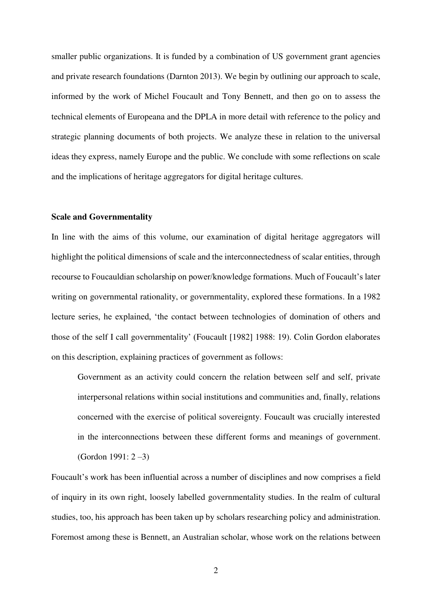smaller public organizations. It is funded by a combination of US government grant agencies and private research foundations (Darnton 2013). We begin by outlining our approach to scale, informed by the work of Michel Foucault and Tony Bennett, and then go on to assess the technical elements of Europeana and the DPLA in more detail with reference to the policy and strategic planning documents of both projects. We analyze these in relation to the universal ideas they express, namely Europe and the public. We conclude with some reflections on scale and the implications of heritage aggregators for digital heritage cultures.

## **Scale and Governmentality**

In line with the aims of this volume, our examination of digital heritage aggregators will highlight the political dimensions of scale and the interconnectedness of scalar entities, through recourse to Foucauldian scholarship on power/knowledge formations. Much of Foucault's later writing on governmental rationality, or governmentality, explored these formations. In a 1982 lecture series, he explained, 'the contact between technologies of domination of others and those of the self I call governmentality' (Foucault [1982] 1988: 19). Colin Gordon elaborates on this description, explaining practices of government as follows:

Government as an activity could concern the relation between self and self, private interpersonal relations within social institutions and communities and, finally, relations concerned with the exercise of political sovereignty. Foucault was crucially interested in the interconnections between these different forms and meanings of government. (Gordon 1991: 2 –3)

Foucault's work has been influential across a number of disciplines and now comprises a field of inquiry in its own right, loosely labelled governmentality studies. In the realm of cultural studies, too, his approach has been taken up by scholars researching policy and administration. Foremost among these is Bennett, an Australian scholar, whose work on the relations between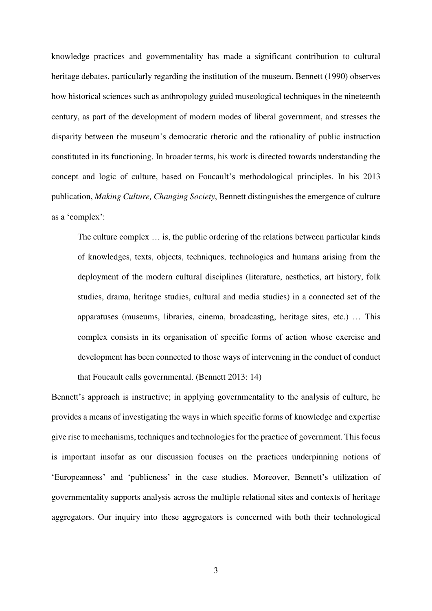knowledge practices and governmentality has made a significant contribution to cultural heritage debates, particularly regarding the institution of the museum. Bennett (1990) observes how historical sciences such as anthropology guided museological techniques in the nineteenth century, as part of the development of modern modes of liberal government, and stresses the disparity between the museum's democratic rhetoric and the rationality of public instruction constituted in its functioning. In broader terms, his work is directed towards understanding the concept and logic of culture, based on Foucault's methodological principles. In his 2013 publication, *Making Culture, Changing Society*, Bennett distinguishes the emergence of culture as a 'complex':

The culture complex … is, the public ordering of the relations between particular kinds of knowledges, texts, objects, techniques, technologies and humans arising from the deployment of the modern cultural disciplines (literature, aesthetics, art history, folk studies, drama, heritage studies, cultural and media studies) in a connected set of the apparatuses (museums, libraries, cinema, broadcasting, heritage sites, etc.) … This complex consists in its organisation of specific forms of action whose exercise and development has been connected to those ways of intervening in the conduct of conduct

that Foucault calls governmental. (Bennett 2013: 14)

Bennett's approach is instructive; in applying governmentality to the analysis of culture, he provides a means of investigating the ways in which specific forms of knowledge and expertise give rise to mechanisms, techniques and technologies for the practice of government. This focus is important insofar as our discussion focuses on the practices underpinning notions of 'Europeanness' and 'publicness' in the case studies. Moreover, Bennett's utilization of governmentality supports analysis across the multiple relational sites and contexts of heritage aggregators. Our inquiry into these aggregators is concerned with both their technological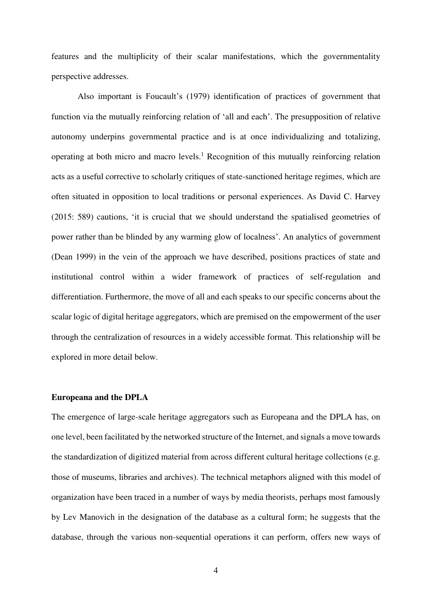features and the multiplicity of their scalar manifestations, which the governmentality perspective addresses.

Also important is Foucault's (1979) identification of practices of government that function via the mutually reinforcing relation of 'all and each'. The presupposition of relative autonomy underpins governmental practice and is at once individualizing and totalizing, operating at both micro and macro levels.<sup>1</sup> Recognition of this mutually reinforcing relation acts as a useful corrective to scholarly critiques of state-sanctioned heritage regimes, which are often situated in opposition to local traditions or personal experiences. As David C. Harvey (2015: 589) cautions, 'it is crucial that we should understand the spatialised geometries of power rather than be blinded by any warming glow of localness'. An analytics of government (Dean 1999) in the vein of the approach we have described, positions practices of state and institutional control within a wider framework of practices of self-regulation and differentiation. Furthermore, the move of all and each speaks to our specific concerns about the scalar logic of digital heritage aggregators, which are premised on the empowerment of the user through the centralization of resources in a widely accessible format. This relationship will be explored in more detail below.

## **Europeana and the DPLA**

The emergence of large-scale heritage aggregators such as Europeana and the DPLA has, on one level, been facilitated by the networked structure of the Internet, and signals a move towards the standardization of digitized material from across different cultural heritage collections (e.g. those of museums, libraries and archives). The technical metaphors aligned with this model of organization have been traced in a number of ways by media theorists, perhaps most famously by Lev Manovich in the designation of the database as a cultural form; he suggests that the database, through the various non-sequential operations it can perform, offers new ways of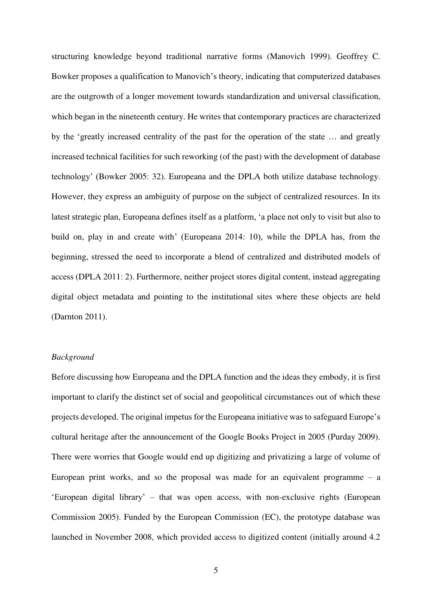structuring knowledge beyond traditional narrative forms (Manovich 1999). Geoffrey C. Bowker proposes a qualification to Manovich's theory, indicating that computerized databases are the outgrowth of a longer movement towards standardization and universal classification, which began in the nineteenth century. He writes that contemporary practices are characterized by the 'greatly increased centrality of the past for the operation of the state … and greatly increased technical facilities for such reworking (of the past) with the development of database technology' (Bowker 2005: 32). Europeana and the DPLA both utilize database technology. However, they express an ambiguity of purpose on the subject of centralized resources. In its latest strategic plan, Europeana defines itself as a platform, 'a place not only to visit but also to build on, play in and create with' (Europeana 2014: 10), while the DPLA has, from the beginning, stressed the need to incorporate a blend of centralized and distributed models of access (DPLA 2011: 2). Furthermore, neither project stores digital content, instead aggregating digital object metadata and pointing to the institutional sites where these objects are held (Darnton 2011).

## *Background*

Before discussing how Europeana and the DPLA function and the ideas they embody, it is first important to clarify the distinct set of social and geopolitical circumstances out of which these projects developed. The original impetus for the Europeana initiative was to safeguard Europe's cultural heritage after the announcement of the Google Books Project in 2005 (Purday 2009). There were worries that Google would end up digitizing and privatizing a large of volume of European print works, and so the proposal was made for an equivalent programme  $-$  a 'European digital library' – that was open access, with non-exclusive rights (European Commission 2005). Funded by the European Commission (EC), the prototype database was launched in November 2008, which provided access to digitized content (initially around 4.2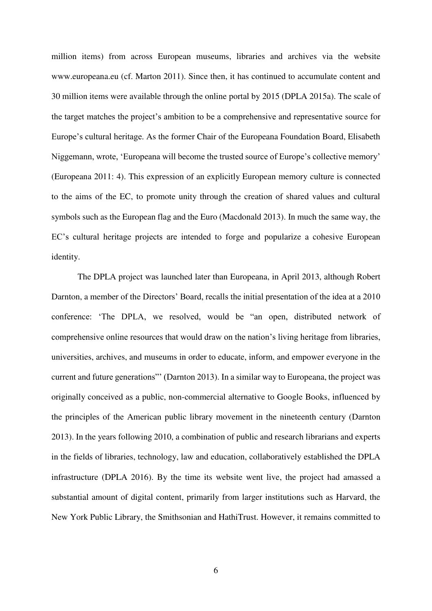million items) from across European museums, libraries and archives via the website www.europeana.eu (cf. Marton 2011). Since then, it has continued to accumulate content and 30 million items were available through the online portal by 2015 (DPLA 2015a). The scale of the target matches the project's ambition to be a comprehensive and representative source for Europe's cultural heritage. As the former Chair of the Europeana Foundation Board, Elisabeth Niggemann, wrote, 'Europeana will become the trusted source of Europe's collective memory' (Europeana 2011: 4). This expression of an explicitly European memory culture is connected to the aims of the EC, to promote unity through the creation of shared values and cultural symbols such as the European flag and the Euro (Macdonald 2013). In much the same way, the EC's cultural heritage projects are intended to forge and popularize a cohesive European identity.

The DPLA project was launched later than Europeana, in April 2013, although Robert Darnton, a member of the Directors' Board, recalls the initial presentation of the idea at a 2010 conference: 'The DPLA, we resolved, would be "an open, distributed network of comprehensive online resources that would draw on the nation's living heritage from libraries, universities, archives, and museums in order to educate, inform, and empower everyone in the current and future generations"' (Darnton 2013). In a similar way to Europeana, the project was originally conceived as a public, non-commercial alternative to Google Books, influenced by the principles of the American public library movement in the nineteenth century (Darnton 2013). In the years following 2010, a combination of public and research librarians and experts in the fields of libraries, technology, law and education, collaboratively established the DPLA infrastructure (DPLA 2016). By the time its website went live, the project had amassed a substantial amount of digital content, primarily from larger institutions such as Harvard, the New York Public Library, the Smithsonian and HathiTrust. However, it remains committed to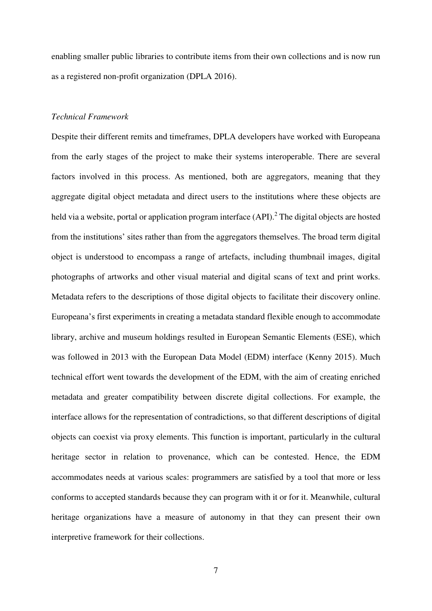enabling smaller public libraries to contribute items from their own collections and is now run as a registered non-profit organization (DPLA 2016).

### *Technical Framework*

Despite their different remits and timeframes, DPLA developers have worked with Europeana from the early stages of the project to make their systems interoperable. There are several factors involved in this process. As mentioned, both are aggregators, meaning that they aggregate digital object metadata and direct users to the institutions where these objects are held via a website, portal or application program interface (API).<sup>2</sup> The digital objects are hosted from the institutions' sites rather than from the aggregators themselves. The broad term digital object is understood to encompass a range of artefacts, including thumbnail images, digital photographs of artworks and other visual material and digital scans of text and print works. Metadata refers to the descriptions of those digital objects to facilitate their discovery online. Europeana's first experiments in creating a metadata standard flexible enough to accommodate library, archive and museum holdings resulted in European Semantic Elements (ESE), which was followed in 2013 with the European Data Model (EDM) interface (Kenny 2015). Much technical effort went towards the development of the EDM, with the aim of creating enriched metadata and greater compatibility between discrete digital collections. For example, the interface allows for the representation of contradictions, so that different descriptions of digital objects can coexist via proxy elements. This function is important, particularly in the cultural heritage sector in relation to provenance, which can be contested. Hence, the EDM accommodates needs at various scales: programmers are satisfied by a tool that more or less conforms to accepted standards because they can program with it or for it. Meanwhile, cultural heritage organizations have a measure of autonomy in that they can present their own interpretive framework for their collections.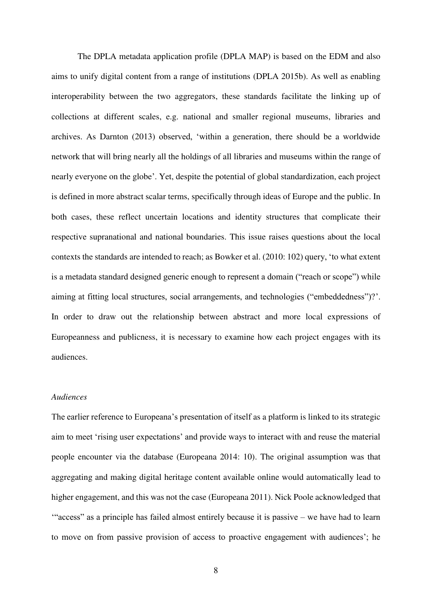The DPLA metadata application profile (DPLA MAP) is based on the EDM and also aims to unify digital content from a range of institutions (DPLA 2015b). As well as enabling interoperability between the two aggregators, these standards facilitate the linking up of collections at different scales, e.g. national and smaller regional museums, libraries and archives. As Darnton (2013) observed, 'within a generation, there should be a worldwide network that will bring nearly all the holdings of all libraries and museums within the range of nearly everyone on the globe'. Yet, despite the potential of global standardization, each project is defined in more abstract scalar terms, specifically through ideas of Europe and the public. In both cases, these reflect uncertain locations and identity structures that complicate their respective supranational and national boundaries. This issue raises questions about the local contexts the standards are intended to reach; as Bowker et al. (2010: 102) query, 'to what extent is a metadata standard designed generic enough to represent a domain ("reach or scope") while aiming at fitting local structures, social arrangements, and technologies ("embeddedness")?'. In order to draw out the relationship between abstract and more local expressions of Europeanness and publicness, it is necessary to examine how each project engages with its audiences.

# *Audiences*

The earlier reference to Europeana's presentation of itself as a platform is linked to its strategic aim to meet 'rising user expectations' and provide ways to interact with and reuse the material people encounter via the database (Europeana 2014: 10). The original assumption was that aggregating and making digital heritage content available online would automatically lead to higher engagement, and this was not the case (Europeana 2011). Nick Poole acknowledged that '"access" as a principle has failed almost entirely because it is passive – we have had to learn to move on from passive provision of access to proactive engagement with audiences'; he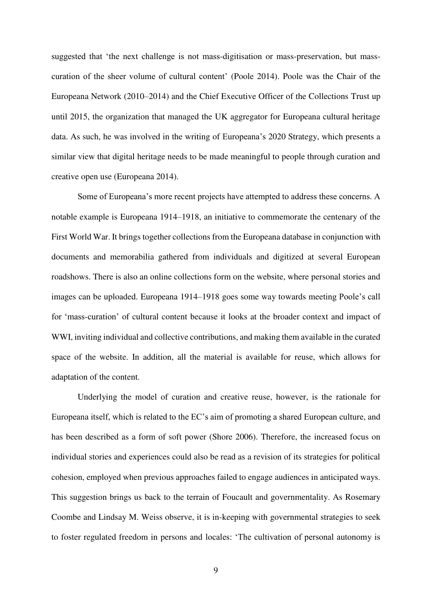suggested that 'the next challenge is not mass-digitisation or mass-preservation, but masscuration of the sheer volume of cultural content' (Poole 2014). Poole was the Chair of the Europeana Network (2010–2014) and the Chief Executive Officer of the Collections Trust up until 2015, the organization that managed the UK aggregator for Europeana cultural heritage data. As such, he was involved in the writing of Europeana's 2020 Strategy, which presents a similar view that digital heritage needs to be made meaningful to people through curation and creative open use (Europeana 2014).

Some of Europeana's more recent projects have attempted to address these concerns. A notable example is Europeana 1914–1918, an initiative to commemorate the centenary of the First World War. It brings together collections from the Europeana database in conjunction with documents and memorabilia gathered from individuals and digitized at several European roadshows. There is also an online collections form on the website, where personal stories and images can be uploaded. Europeana 1914–1918 goes some way towards meeting Poole's call for 'mass-curation' of cultural content because it looks at the broader context and impact of WWI, inviting individual and collective contributions, and making them available in the curated space of the website. In addition, all the material is available for reuse, which allows for adaptation of the content.

Underlying the model of curation and creative reuse, however, is the rationale for Europeana itself, which is related to the EC's aim of promoting a shared European culture, and has been described as a form of soft power (Shore 2006). Therefore, the increased focus on individual stories and experiences could also be read as a revision of its strategies for political cohesion, employed when previous approaches failed to engage audiences in anticipated ways. This suggestion brings us back to the terrain of Foucault and governmentality. As Rosemary Coombe and Lindsay M. Weiss observe, it is in-keeping with governmental strategies to seek to foster regulated freedom in persons and locales: 'The cultivation of personal autonomy is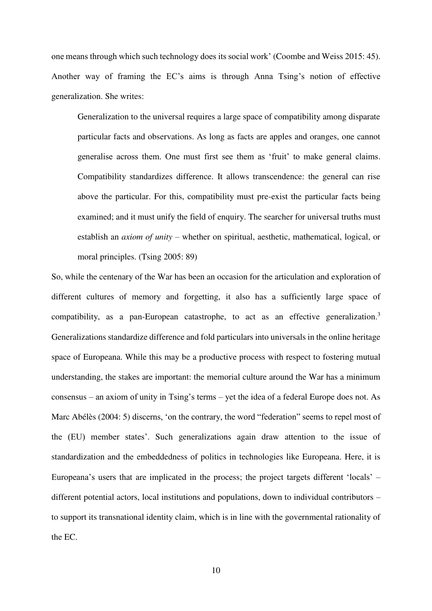one means through which such technology does its social work' (Coombe and Weiss 2015: 45). Another way of framing the EC's aims is through Anna Tsing's notion of effective generalization. She writes:

Generalization to the universal requires a large space of compatibility among disparate particular facts and observations. As long as facts are apples and oranges, one cannot generalise across them. One must first see them as 'fruit' to make general claims. Compatibility standardizes difference. It allows transcendence: the general can rise above the particular. For this, compatibility must pre-exist the particular facts being examined; and it must unify the field of enquiry. The searcher for universal truths must establish an *axiom of unity* – whether on spiritual, aesthetic, mathematical, logical, or moral principles. (Tsing 2005: 89)

So, while the centenary of the War has been an occasion for the articulation and exploration of different cultures of memory and forgetting, it also has a sufficiently large space of compatibility, as a pan-European catastrophe, to act as an effective generalization.<sup>3</sup> Generalizations standardize difference and fold particulars into universals in the online heritage space of Europeana. While this may be a productive process with respect to fostering mutual understanding, the stakes are important: the memorial culture around the War has a minimum consensus – an axiom of unity in Tsing's terms – yet the idea of a federal Europe does not. As Marc Abélès (2004: 5) discerns, 'on the contrary, the word "federation" seems to repel most of the (EU) member states'. Such generalizations again draw attention to the issue of standardization and the embeddedness of politics in technologies like Europeana. Here, it is Europeana's users that are implicated in the process; the project targets different 'locals' – different potential actors, local institutions and populations, down to individual contributors – to support its transnational identity claim, which is in line with the governmental rationality of the EC.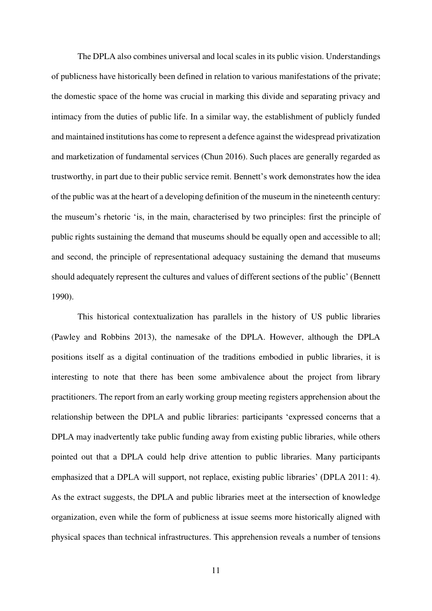The DPLA also combines universal and local scales in its public vision. Understandings of publicness have historically been defined in relation to various manifestations of the private; the domestic space of the home was crucial in marking this divide and separating privacy and intimacy from the duties of public life. In a similar way, the establishment of publicly funded and maintained institutions has come to represent a defence against the widespread privatization and marketization of fundamental services (Chun 2016). Such places are generally regarded as trustworthy, in part due to their public service remit. Bennett's work demonstrates how the idea of the public was at the heart of a developing definition of the museum in the nineteenth century: the museum's rhetoric 'is, in the main, characterised by two principles: first the principle of public rights sustaining the demand that museums should be equally open and accessible to all; and second, the principle of representational adequacy sustaining the demand that museums should adequately represent the cultures and values of different sections of the public' (Bennett 1990).

This historical contextualization has parallels in the history of US public libraries (Pawley and Robbins 2013), the namesake of the DPLA. However, although the DPLA positions itself as a digital continuation of the traditions embodied in public libraries, it is interesting to note that there has been some ambivalence about the project from library practitioners. The report from an early working group meeting registers apprehension about the relationship between the DPLA and public libraries: participants 'expressed concerns that a DPLA may inadvertently take public funding away from existing public libraries, while others pointed out that a DPLA could help drive attention to public libraries. Many participants emphasized that a DPLA will support, not replace, existing public libraries' (DPLA 2011: 4). As the extract suggests, the DPLA and public libraries meet at the intersection of knowledge organization, even while the form of publicness at issue seems more historically aligned with physical spaces than technical infrastructures. This apprehension reveals a number of tensions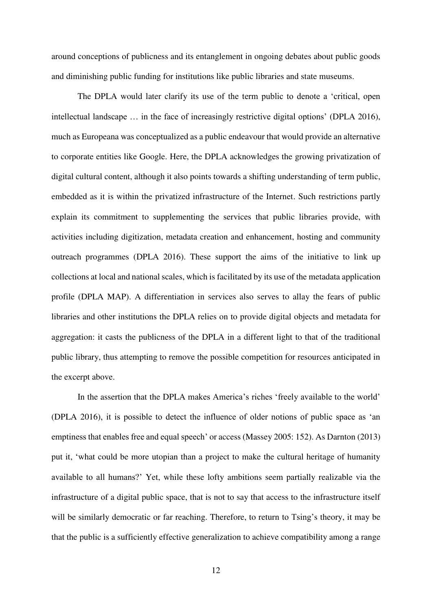around conceptions of publicness and its entanglement in ongoing debates about public goods and diminishing public funding for institutions like public libraries and state museums.

The DPLA would later clarify its use of the term public to denote a 'critical, open intellectual landscape … in the face of increasingly restrictive digital options' (DPLA 2016), much as Europeana was conceptualized as a public endeavour that would provide an alternative to corporate entities like Google. Here, the DPLA acknowledges the growing privatization of digital cultural content, although it also points towards a shifting understanding of term public, embedded as it is within the privatized infrastructure of the Internet. Such restrictions partly explain its commitment to supplementing the services that public libraries provide, with activities including digitization, metadata creation and enhancement, hosting and community outreach programmes (DPLA 2016). These support the aims of the initiative to link up collections at local and national scales, which is facilitated by its use of the metadata application profile (DPLA MAP). A differentiation in services also serves to allay the fears of public libraries and other institutions the DPLA relies on to provide digital objects and metadata for aggregation: it casts the publicness of the DPLA in a different light to that of the traditional public library, thus attempting to remove the possible competition for resources anticipated in the excerpt above.

In the assertion that the DPLA makes America's riches 'freely available to the world' (DPLA 2016), it is possible to detect the influence of older notions of public space as 'an emptiness that enables free and equal speech' or access (Massey 2005: 152). As Darnton (2013) put it, 'what could be more utopian than a project to make the cultural heritage of humanity available to all humans?' Yet, while these lofty ambitions seem partially realizable via the infrastructure of a digital public space, that is not to say that access to the infrastructure itself will be similarly democratic or far reaching. Therefore, to return to Tsing's theory, it may be that the public is a sufficiently effective generalization to achieve compatibility among a range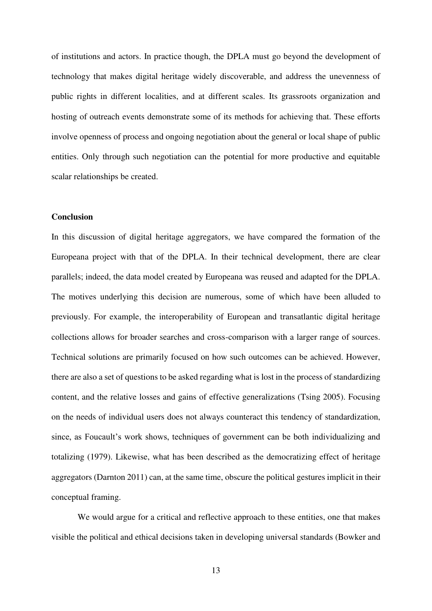of institutions and actors. In practice though, the DPLA must go beyond the development of technology that makes digital heritage widely discoverable, and address the unevenness of public rights in different localities, and at different scales. Its grassroots organization and hosting of outreach events demonstrate some of its methods for achieving that. These efforts involve openness of process and ongoing negotiation about the general or local shape of public entities. Only through such negotiation can the potential for more productive and equitable scalar relationships be created.

#### **Conclusion**

In this discussion of digital heritage aggregators, we have compared the formation of the Europeana project with that of the DPLA. In their technical development, there are clear parallels; indeed, the data model created by Europeana was reused and adapted for the DPLA. The motives underlying this decision are numerous, some of which have been alluded to previously. For example, the interoperability of European and transatlantic digital heritage collections allows for broader searches and cross-comparison with a larger range of sources. Technical solutions are primarily focused on how such outcomes can be achieved. However, there are also a set of questions to be asked regarding what is lost in the process of standardizing content, and the relative losses and gains of effective generalizations (Tsing 2005). Focusing on the needs of individual users does not always counteract this tendency of standardization, since, as Foucault's work shows, techniques of government can be both individualizing and totalizing (1979). Likewise, what has been described as the democratizing effect of heritage aggregators (Darnton 2011) can, at the same time, obscure the political gestures implicit in their conceptual framing.

We would argue for a critical and reflective approach to these entities, one that makes visible the political and ethical decisions taken in developing universal standards (Bowker and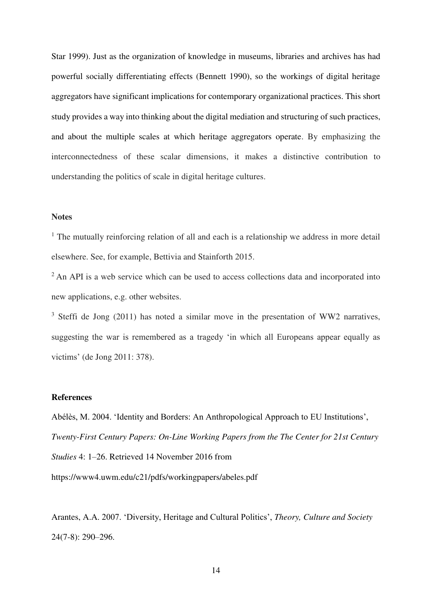Star 1999). Just as the organization of knowledge in museums, libraries and archives has had powerful socially differentiating effects (Bennett 1990), so the workings of digital heritage aggregators have significant implications for contemporary organizational practices. This short study provides a way into thinking about the digital mediation and structuring of such practices, and about the multiple scales at which heritage aggregators operate. By emphasizing the interconnectedness of these scalar dimensions, it makes a distinctive contribution to understanding the politics of scale in digital heritage cultures.

## **Notes**

<sup>1</sup> The mutually reinforcing relation of all and each is a relationship we address in more detail elsewhere. See, for example, Bettivia and Stainforth 2015.

<sup>2</sup> An API is a web service which can be used to access collections data and incorporated into new applications, e.g. other websites.

 $3$  Steffi de Jong (2011) has noted a similar move in the presentation of WW2 narratives, suggesting the war is remembered as a tragedy 'in which all Europeans appear equally as victims' (de Jong 2011: 378).

#### **References**

Abélès, M. 2004. 'Identity and Borders: An Anthropological Approach to EU Institutions', *Twenty-First Century Papers: On-Line Working Papers from the The Center for 21st Century Studies* 4: 1–26. Retrieved 14 November 2016 from https://www4.uwm.edu/c21/pdfs/workingpapers/abeles.pdf

Arantes, A.A. 2007. 'Diversity, Heritage and Cultural Politics', *Theory, Culture and Society* 24(7-8): 290–296.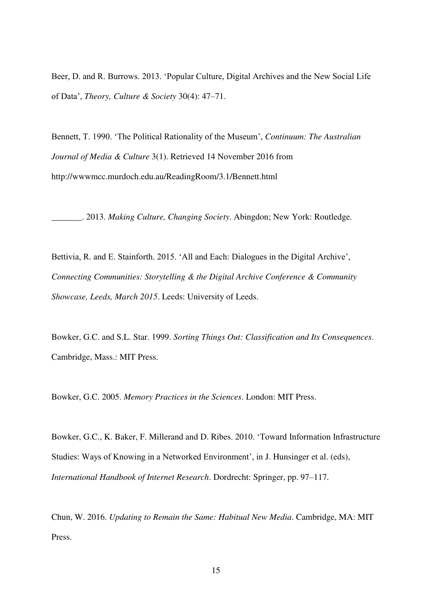Beer, D. and R. Burrows. 2013. 'Popular Culture, Digital Archives and the New Social Life of Data', *Theory, Culture & Society* 30(4): 47–71.

Bennett, T. 1990. 'The Political Rationality of the Museum', *Continuum: The Australian Journal of Media & Culture* 3(1). Retrieved 14 November 2016 from http://wwwmcc.murdoch.edu.au/ReadingRoom/3.1/Bennett.html

\_\_\_\_\_\_\_. 2013. *Making Culture, Changing Society*. Abingdon; New York: Routledge.

Bettivia, R. and E. Stainforth. 2015. 'All and Each: Dialogues in the Digital Archive', *Connecting Communities: Storytelling & the Digital Archive Conference & Community Showcase, Leeds, March 2015*. Leeds: University of Leeds.

Bowker, G.C. and S.L. Star. 1999. *Sorting Things Out: Classification and Its Consequences*. Cambridge, Mass.: MIT Press.

Bowker, G.C. 2005. *Memory Practices in the Sciences*. London: MIT Press.

Bowker, G.C., K. Baker, F. Millerand and D. Ribes. 2010. 'Toward Information Infrastructure Studies: Ways of Knowing in a Networked Environment', in J. Hunsinger et al. (eds), *International Handbook of Internet Research*. Dordrecht: Springer, pp. 97–117.

Chun, W. 2016. *Updating to Remain the Same: Habitual New Media*. Cambridge, MA: MIT Press.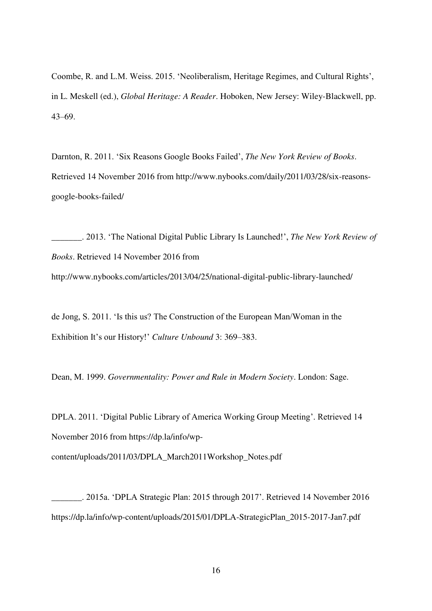Coombe, R. and L.M. Weiss. 2015. 'Neoliberalism, Heritage Regimes, and Cultural Rights', in L. Meskell (ed.), *Global Heritage: A Reader*. Hoboken, New Jersey: Wiley-Blackwell, pp. 43–69.

Darnton, R. 2011. 'Six Reasons Google Books Failed', *The New York Review of Books*. Retrieved 14 November 2016 from http://www.nybooks.com/daily/2011/03/28/six-reasonsgoogle-books-failed/

\_\_\_\_\_\_\_. 2013. 'The National Digital Public Library Is Launched!', *The New York Review of Books*. Retrieved 14 November 2016 from http://www.nybooks.com/articles/2013/04/25/national-digital-public-library-launched/

de Jong, S. 2011. 'Is this us? The Construction of the European Man/Woman in the Exhibition It's our History!' *Culture Unbound* 3: 369–383.

Dean, M. 1999. *Governmentality: Power and Rule in Modern Society*. London: Sage.

DPLA. 2011. 'Digital Public Library of America Working Group Meeting'. Retrieved 14 November 2016 from https://dp.la/info/wp-

content/uploads/2011/03/DPLA\_March2011Workshop\_Notes.pdf

\_\_\_\_\_\_\_. 2015a. 'DPLA Strategic Plan: 2015 through 2017'. Retrieved 14 November 2016 https://dp.la/info/wp-content/uploads/2015/01/DPLA-StrategicPlan\_2015-2017-Jan7.pdf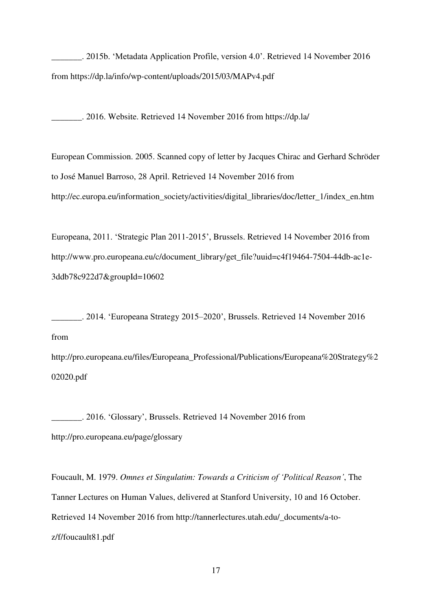\_\_\_\_\_\_\_. 2015b. 'Metadata Application Profile, version 4.0'. Retrieved 14 November 2016 from https://dp.la/info/wp-content/uploads/2015/03/MAPv4.pdf

\_\_\_\_\_\_\_. 2016. Website. Retrieved 14 November 2016 from https://dp.la/

European Commission. 2005. Scanned copy of letter by Jacques Chirac and Gerhard Schröder to José Manuel Barroso, 28 April. Retrieved 14 November 2016 from http://ec.europa.eu/information\_society/activities/digital\_libraries/doc/letter\_1/index\_en.htm

Europeana, 2011. 'Strategic Plan 2011-2015', Brussels. Retrieved 14 November 2016 from http://www.pro.europeana.eu/c/document\_library/get\_file?uuid=c4f19464-7504-44db-ac1e-3ddb78c922d7&groupId=10602

\_\_\_\_\_\_\_. 2014. 'Europeana Strategy 2015–2020', Brussels. Retrieved 14 November 2016 from

http://pro.europeana.eu/files/Europeana\_Professional/Publications/Europeana%20Strategy%2 02020.pdf

\_\_\_\_\_\_\_. 2016. 'Glossary', Brussels. Retrieved 14 November 2016 from http://pro.europeana.eu/page/glossary

Foucault, M. 1979. *Omnes et Singulatim: Towards a Criticism of 'Political Reason'*, The Tanner Lectures on Human Values, delivered at Stanford University, 10 and 16 October. Retrieved 14 November 2016 from http://tannerlectures.utah.edu/\_documents/a-toz/f/foucault81.pdf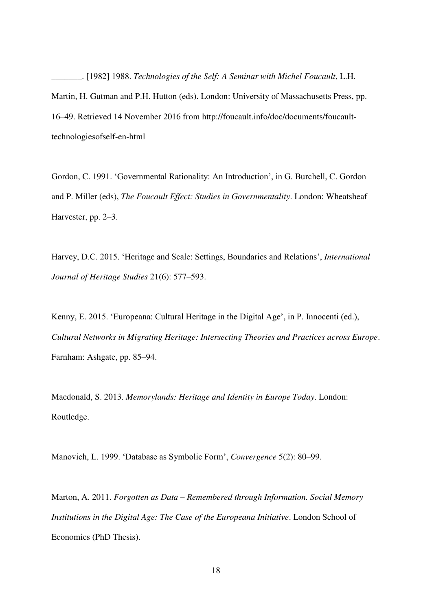\_\_\_\_\_\_\_. [1982] 1988. *Technologies of the Self: A Seminar with Michel Foucault*, L.H. Martin, H. Gutman and P.H. Hutton (eds). London: University of Massachusetts Press, pp. 16–49. Retrieved 14 November 2016 from http://foucault.info/doc/documents/foucaulttechnologiesofself-en-html

Gordon, C. 1991. 'Governmental Rationality: An Introduction', in G. Burchell, C. Gordon and P. Miller (eds), *The Foucault Effect: Studies in Governmentality*. London: Wheatsheaf Harvester, pp. 2–3.

Harvey, D.C. 2015. 'Heritage and Scale: Settings, Boundaries and Relations', *International Journal of Heritage Studies* 21(6): 577–593.

Kenny, E. 2015. 'Europeana: Cultural Heritage in the Digital Age', in P. Innocenti (ed.), *Cultural Networks in Migrating Heritage: Intersecting Theories and Practices across Europe*. Farnham: Ashgate, pp. 85–94.

Macdonald, S. 2013. *Memorylands: Heritage and Identity in Europe Today*. London: Routledge.

Manovich, L. 1999. 'Database as Symbolic Form', *Convergence* 5(2): 80–99.

Marton, A. 2011. *Forgotten as Data – Remembered through Information. Social Memory Institutions in the Digital Age: The Case of the Europeana Initiative*. London School of Economics (PhD Thesis).